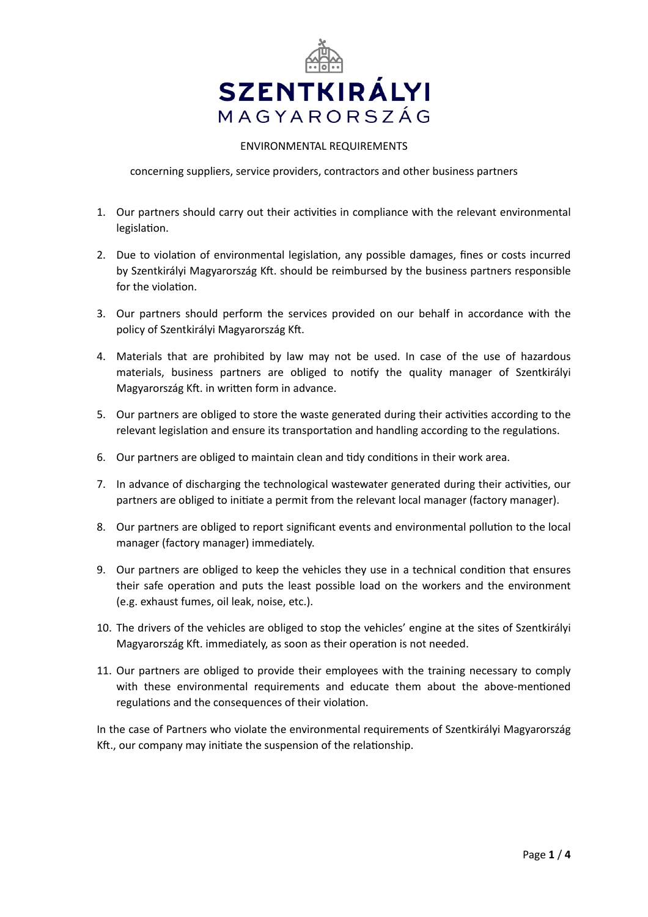

## ENVIRONMENTAL REQUIREMENTS

concerning suppliers, service providers, contractors and other business partners

- 1. Our partners should carry out their activities in compliance with the relevant environmental legislation.
- 2. Due to violation of environmental legislation, any possible damages, fines or costs incurred by Szentkirályi Magyarország Kft. should be reimbursed by the business partners responsible for the violation.
- 3. Our partners should perform the services provided on our behalf in accordance with the policy of Szentkirályi Magyarország Kft.
- 4. Materials that are prohibited by law may not be used. In case of the use of hazardous materials, business partners are obliged to notify the quality manager of Szentkirályi Magyarország Kft. in written form in advance.
- 5. Our partners are obliged to store the waste generated during their activities according to the relevant legislation and ensure its transportation and handling according to the regulations.
- 6. Our partners are obliged to maintain clean and tidy conditions in their work area.
- 7. In advance of discharging the technological wastewater generated during their activities, our partners are obliged to initiate a permit from the relevant local manager (factory manager).
- 8. Our partners are obliged to report significant events and environmental pollution to the local manager (factory manager) immediately.
- 9. Our partners are obliged to keep the vehicles they use in a technical condition that ensures their safe operation and puts the least possible load on the workers and the environment (e.g. exhaust fumes, oil leak, noise, etc.).
- 10. The drivers of the vehicles are obliged to stop the vehicles' engine at the sites of Szentkirályi Magyarország Kft. immediately, as soon as their operation is not needed.
- 11. Our partners are obliged to provide their employees with the training necessary to comply with these environmental requirements and educate them about the above-mentioned regulations and the consequences of their violation.

In the case of Partners who violate the environmental requirements of Szentkirályi Magyarország Kft., our company may initiate the suspension of the relationship.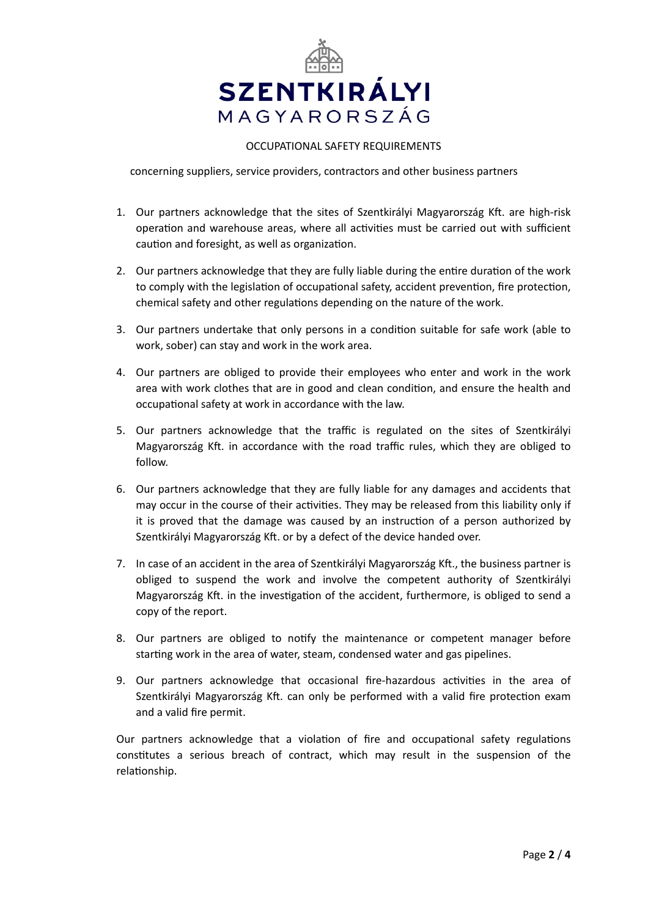

## OCCUPATIONAL SAFETY REQUIREMENTS

concerning suppliers, service providers, contractors and other business partners

- 1. Our partners acknowledge that the sites of Szentkirályi Magyarország Kft. are high-risk operation and warehouse areas, where all activities must be carried out with sufficient caution and foresight, as well as organization.
- 2. Our partners acknowledge that they are fully liable during the entire duration of the work to comply with the legislation of occupational safety, accident prevention, fire protection, chemical safety and other regulations depending on the nature of the work.
- 3. Our partners undertake that only persons in a condition suitable for safe work (able to work, sober) can stay and work in the work area.
- 4. Our partners are obliged to provide their employees who enter and work in the work area with work clothes that are in good and clean condition, and ensure the health and occupational safety at work in accordance with the law.
- 5. Our partners acknowledge that the traffic is regulated on the sites of Szentkirályi Magyarország Kft. in accordance with the road traffic rules, which they are obliged to follow.
- 6. Our partners acknowledge that they are fully liable for any damages and accidents that may occur in the course of their activities. They may be released from this liability only if it is proved that the damage was caused by an instruction of a person authorized by Szentkirályi Magyarország Kft. or by a defect of the device handed over.
- 7. In case of an accident in the area of Szentkirályi Magyarország Kft., the business partner is obliged to suspend the work and involve the competent authority of Szentkirályi Magyarország Kft. in the investigation of the accident, furthermore, is obliged to send a copy of the report.
- 8. Our partners are obliged to notify the maintenance or competent manager before starting work in the area of water, steam, condensed water and gas pipelines.
- 9. Our partners acknowledge that occasional fire-hazardous activities in the area of Szentkirályi Magyarország Kft. can only be performed with a valid fire protection exam and a valid fire permit.

Our partners acknowledge that a violation of fire and occupational safety regulations constitutes a serious breach of contract, which may result in the suspension of the relationship.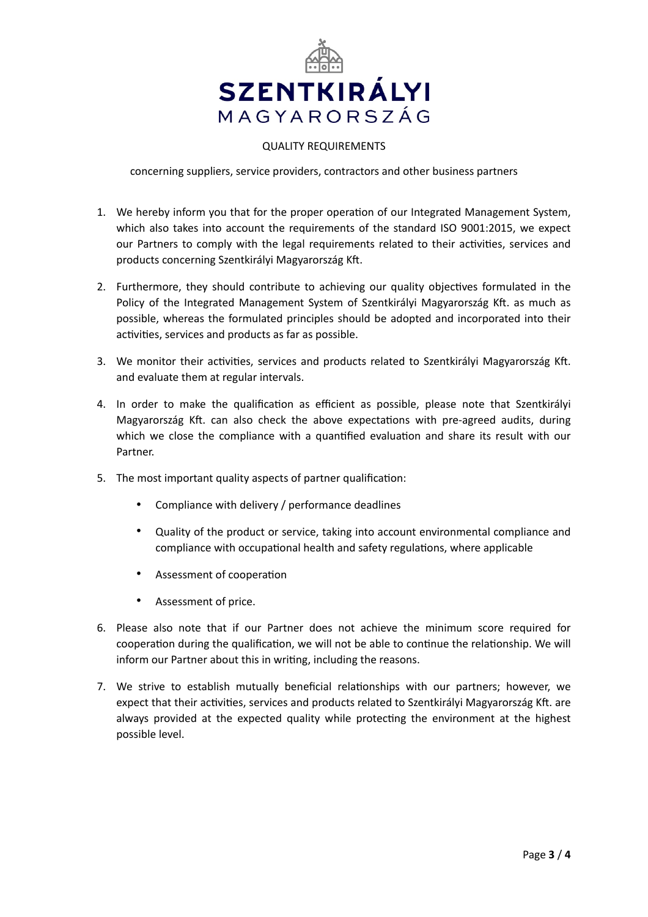

## QUALITY REQUIREMENTS

concerning suppliers, service providers, contractors and other business partners

- 1. We hereby inform you that for the proper operation of our Integrated Management System, which also takes into account the requirements of the standard ISO 9001:2015, we expect our Partners to comply with the legal requirements related to their activities, services and products concerning Szentkirályi Magyarország Kft.
- 2. Furthermore, they should contribute to achieving our quality objectives formulated in the Policy of the Integrated Management System of Szentkirályi Magyarország Kft. as much as possible, whereas the formulated principles should be adopted and incorporated into their activities, services and products as far as possible.
- 3. We monitor their activities, services and products related to Szentkirályi Magyarország Kft. and evaluate them at regular intervals.
- 4. In order to make the qualification as efficient as possible, please note that Szentkirályi Magyarország Kft. can also check the above expectations with pre-agreed audits, during which we close the compliance with a quantified evaluation and share its result with our Partner.
- 5. The most important quality aspects of partner qualification:
	- Compliance with delivery / performance deadlines
	- Quality of the product or service, taking into account environmental compliance and compliance with occupational health and safety regulations, where applicable
	- Assessment of cooperation
	- Assessment of price.
- 6. Please also note that if our Partner does not achieve the minimum score required for cooperation during the qualification, we will not be able to continue the relationship. We will inform our Partner about this in writing, including the reasons.
- 7. We strive to establish mutually beneficial relationships with our partners; however, we expect that their activities, services and products related to Szentkirályi Magyarország Kft. are always provided at the expected quality while protecting the environment at the highest possible level.